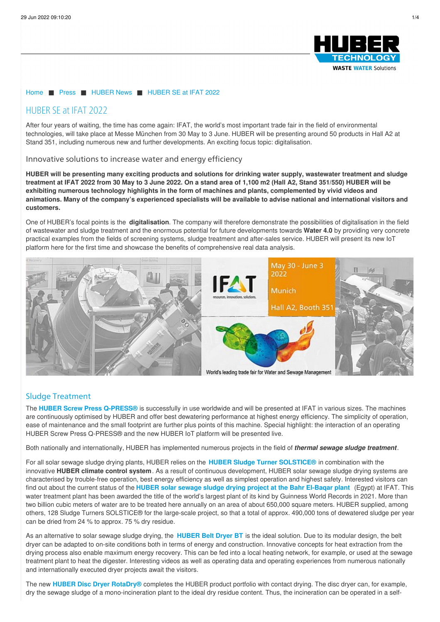

#### [Home](/) ■ [Press](/press/huber-news.html) ■ [HUBER](/press/huber-news.html) News ■ [HUBER](/press/huber-news/huber-se-at-ifat-2022.html) SE at IFAT 2022

# HUBER SE at IFAT 2022

After four years of waiting, the time has come again: IFAT, the world's most important trade fair in the field of environmental technologies, will take place at Messe München from 30 May to 3 June. HUBER will be presenting around 50 products in Hall A2 at Stand 351, including numerous new and further developments. An exciting focus topic: digitalisation.

#### Innovative solutions to increase water and energy efficiency

HUBER will be presenting many exciting products and solutions for drinking water supply, wastewater treatment and sludge treatment at IFAT 2022 from 30 May to 3 June 2022. On a stand area of 1,100 m2 (Hall A2, Stand 351/550) HUBER will be **exhibiting numerous technology highlights in the form of machines and plants, complemented by vivid videos and** animations. Many of the company's experienced specialists will be available to advise national and international visitors and **customers.**

One of HUBER's focal points is the **digitalisation**. The company will therefore demonstrate the possibilities of digitalisation in the field of wastewater and sludge treatment and the enormous potential for future developments towards **Water 4.0** by providing very concrete practical examples from the fields of screening systems, sludge treatment and after-sales service. HUBER will present its new IoT platform here for the first time and showcase the benefits of comprehensive real data analysis.



## Sludge Treatment

The **HUBER Screw Press [Q-PRESS®](/products/sludge-treatment/sludge-dewatering/huber-screw-press-q-pressr.html)** is successfully in use worldwide and will be presented at IFAT in various sizes. The machines are continuously optimised by HUBER and offer best dewatering performance at highest energy efficiency. The simplicity of operation, ease of maintenance and the small footprint are further plus points of this machine. Special highlight: the interaction of an operating HUBER Screw Press Q-PRESS® and the new HUBER IoT platform will be presented live.

Both nationally and internationally, HUBER has implemented numerous projects in the field of *thermal sewage sludge treatment*.

For all solar sewage sludge drying plants, HUBER relies on the **HUBER Sludge Turner [SOLSTICE®](/products/sludge-treatment/sludge-drying/huber-solar-active-dryer-srt.html)** in combination with the innovative **HUBER climate control system**. As a result of continuous development, HUBER solar sewage sludge drying systems are characterised by trouble-free operation, best energy efficiency as well as simplest operation and highest safety. Interested visitors can find out about the current status of the **HUBER solar sewage sludge drying project at the Bahr [El-Baqar](https://www.huber.de/press/huber-news/news-article/news/guinness-world-record-huber-supplies-technology-for-the-worlds-largest-water-treatment-plant-in-eg.html) plant** (Egypt) at IFAT. This water treatment plant has been awarded the title of the world's largest plant of its kind by Guinness World Records in 2021. More than two billion cubic meters of water are to be treated here annually on an area of about 650,000 square meters. HUBER supplied, among others, 128 Sludge Turners SOLSTICE® for the large-scale project, so that a total of approx. 490,000 tons of dewatered sludge per year can be dried from 24 % to approx. 75 % dry residue.

As an alternative to solar sewage sludge drying, the **[HUBER](/products/sludge-treatment/sludge-drying/huber-belt-dryer-bt.html) Belt Dryer BT** is the ideal solution. Due to its modular design, the belt dryer can be adapted to on-site conditions both in terms of energy and construction. Innovative concepts for heat extraction from the drying process also enable maximum energy recovery. This can be fed into a local heating network, for example, or used at the sewage treatment plant to heat the digester. Interesting videos as well as operating data and operating experiences from numerous nationally and internationally executed dryer projects await the visitors.

The new **HUBER Disc Dryer [RotaDry®](/products/sludge-treatment/sludge-drying/huber-disc-dryer-rotadryr.html)** completes the HUBER product portfolio with contact drying. The disc dryer can, for example, dry the sewage sludge of a mono-incineration plant to the ideal dry residue content. Thus, the incineration can be operated in a self-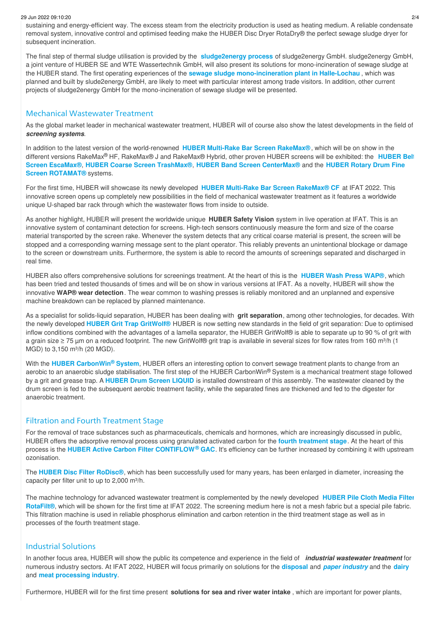#### 29 Jun 2022 09:10:20 2/4

sustaining and energy-efficient way. The excess steam from the electricity production is used as heating medium. A reliable condensate removal system, innovative control and optimised feeding make the HUBER Disc Dryer RotaDry® the perfect sewage sludge dryer for subsequent incineration.

The final step of thermal sludge utilisation is provided by the **[sludge2energy](/solutions/sludge-treatment/thermal-utilisation.html) process** of sludge2energy GmbH. sludge2energy GmbH, a joint venture of HUBER SE and WTE Wassertechnik GmbH, will also present its solutions for mono-incineration of sewage sludge at the HUBER stand. The first operating experiences of the **sewage sludge [mono-incineration](/huber-report/ablage-berichte/sludge-treatment/la-costruzione-dellimpianto-di-incenerimento-dei-fanghi-di-depurazione-di-halle-lochau-e-gia-a-buon-punto.html) plant in Halle-Lochau** , which was planned and built by slude2energy GmbH, are likely to meet with particular interest among trade visitors. In addition, other current projects of sludge2energy GmbH for the mono-incineration of sewage sludge will be presented.

#### Mechanical Wastewater Treatment

As the global market leader in mechanical wastewater treatment, HUBER will of course also show the latest developments in the field of *screening systems*.

In addition to the latest version of the world-renowned **HUBER Multi-Rake Bar Screen [RakeMax®](/products/screens-and-fine-screens/perforated-plate-and-bar-screens/huber-multi-rake-bar-screen-rakemaxr.html)** , which will be on show in the different versions RakeMax® HF, RakeMax® J and RakeMax® Hybrid, other proven HUBER screens will be exhibited: the **HUBER Bel**t **Screen EscaMax®**, **HUBER Coarse Screen [TrashMax®](/products/screens-and-fine-screens/perforated-plate-and-bar-screens/huber-coarse-screen-trashmaxr.html)**, **HUBER Band Screen [CenterMax®](/products/screens-and-fine-screens/rotamatr-screens/huber-rotary-drum-fine-screen-perforated-plate-screen-rotamatr-ro2-rpps-star.html)** and the **HUBER Rotary Drum Fine Screen ROTAMAT®** systems.

For the first time, HUBER will showcase its newly developed **HUBER Multi-Rake Bar Screen [RakeMax®](/products/screens-and-fine-screens/perforated-plate-and-bar-screens/huber-multi-rake-bar-screen-rakemaxr-cf.html) CF** at IFAT 2022. This innovative screen opens up completely new possibilities in the field of mechanical wastewater treatment as it features a worldwide unique U-shaped bar rack through which the wastewater flows from inside to outside.

As another highlight, HUBER will present the worldwide unique **HUBER Safety Vision** system in live operation at IFAT. This is an innovative system of contaminant detection for screens. High-tech sensors continuously measure the form and size of the coarse material transported by the screen rake. Whenever the system detects that any critical coarse material is present, the screen will be stopped and a corresponding warning message sent to the plant operator. This reliably prevents an unintentional blockage or damage to the screen or downstream units. Furthermore, the system is able to record the amounts of screenings separated and discharged in real time.

HUBER also offers comprehensive solutions for screenings treatment. At the heart of this is the **[HUBER](/obladnannja/obrobka-mekhanichnikh-zabrudnen/pres-miika-dlja-shlamu-wapr.html) Wash Press WAP®**, which has been tried and tested thousands of times and will be on show in various versions at IFAT. As a novelty, HUBER will show the innovative **WAP® wear detection**. The wear common to washing presses is reliably monitored and an unplanned and expensive machine breakdown can be replaced by planned maintenance.

As a specialist for solids-liquid separation, HUBER has been dealing with **grit separation**, among other technologies, for decades. With the newly developed **HUBER Grit Trap [GritWolf®](/huber-report/ablage-berichte/grit-separation-and-treatment/new-huber-grit-trap-gritwolfr-setting-new-standards-grit-removal-below-100-um.html)** HUBER is now setting new standards in the field of grit separation: Due to optimised inflow conditions combined with the advantages of a lamella separator, the HUBER GritWolf® is able to separate up to 90 % of grit with a grain size ≥ 75 µm on a reduced footprint. The new GritWolf® grit trap is available in several sizes for flow rates from 160 m<sup>3</sup>/h (1 MGD) to 3,150 m<sup>3</sup>/h (20 MGD).

With the HUBER [CarbonWin](/huber-report/ablage-berichte/screens/huber-supplies-a-process-system-as-replacement-for-the-primary-settling-tank.html)® System, HUBER offers an interesting option to convert sewage treatment plants to change from an aerobic to an anaerobic sludge stabilisation. The first step of the HUBER CarbonWin® System is a mechanical treatment stage followed by a grit and grease trap. A **[HUBER](/products/screens-and-fine-screens/ultra-fine-screens/huber-drum-screen-liquid.html) Drum Screen LIQUID** is installed downstream of this assembly. The wastewater cleaned by the drum screen is fed to the subsequent aerobic treatment facility, while the separated fines are thickened and fed to the digester for anaerobic treatment.

## Filtration and Fourth Treatment Stage

For the removal of trace substances such as pharmaceuticals, chemicals and hormones, which are increasingly discussed in public, HUBER offers the adsorptive removal process using granulated activated carbon for the **fourth [treatment](/solutions/centralized-wastewater-treatment/quaternary-treatment.html) stage**. At the heart of this process is the **HUBER Active Carbon Filter [CONTIFLOW](/products/micro-screening-filtration/active-carbon-filter/huber-active-carbon-filter-contiflowr-gak.html) GAC**. It's efficiency can be further increased by combining it with upstream **®** ozonisation.

The **HUBER Disc Filter [RoDisc®](/products/screens-and-fine-screens/ultra-fine-screens/huber-disc-filter-rodiscr.html)**, which has been successfully used for many years, has been enlarged in diameter, increasing the capacity per filter unit to up to 2,000 m<sup>3</sup>/h.

The machine technology for advanced wastewater treatment is [complemented](/products/micro-screening-filtration/pile-fabric-filtration/huber-pile-cloth-media-filter-rotafiltr.html) by the newly developed **HUBER Pile Cloth Media Filter RotaFilt®**, which will be shown for the first time at IFAT 2022. The screening medium here is not a mesh fabric but a special pile fabric. This filtration machine is used in reliable phosphorus elimination and carbon retention in the third treatment stage as well as in processes of the fourth treatment stage.

#### Industrial Solutions

In another focus area, HUBER will show the public its competence and experience in the field of *industrial wastewater treatment* for numerous industry sectors. At IFAT 2022, HUBER will focus primarily on solutions for the **[disposal](/solutions/industry/sand-and-grit-slurry.html)** and *paper [industry](/solutions/industry/pulp-paper.html)* and the **[dairy](/solutions/industry/dairies.html)** and **meat [processing](/solutions/industry/meat-processing.html) industry**.

Furthermore, HUBER will for the first time present **solutions for sea and river water intake** , which are important for power plants,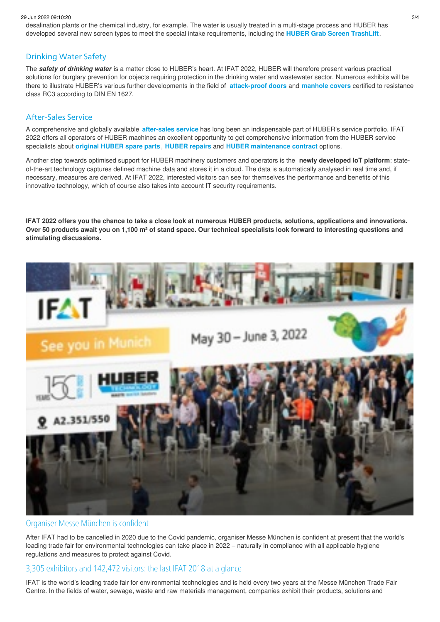#### 29 Jun 2022 09:10:20 3/4

desalination plants or the chemical industry, for example. The water is usually treated in a multi-stage process and HUBER has developed several new screen types to meet the special intake requirements, including the **HUBER Grab Screen [TrashLift](/products/screens-and-fine-screens/perforated-plate-and-bar-screens/huber-grab-screen-trashlift.html)**.

#### Drinking Water Safety

The *safety of drinking water* is a matter close to HUBER's heart. At IFAT 2022, HUBER will therefore present various practical solutions for burglary prevention for objects requiring protection in the drinking water and wastewater sector. Numerous exhibits will be there to illustrate HUBER's various further developments in the field of **[attack-proof](/productos/equipamiento-en-acero-inoxidable/puertas-especiales/puerta-de-seguridad.html) doors** and **[manhole](/products/stainless-steel-equipment/manhole-equipment/manhole-covers.html) covers** certified to resistance class RC3 according to DIN EN 1627.

## After-Sales Service

A comprehensive and globally available **[after-sales](/service.html) service** has long been an indispensable part of HUBER's service portfolio. IFAT 2022 offers all operators of HUBER machines an excellent opportunity to get comprehensive information from the HUBER service specialists about **[original](/service/huber-lifecycle-service/spare-parts-service.html) HUBER spare parts**, **[HUBER](/service/huber-lifecycle-service/repair-service.html) repairs** and **HUBER [maintenance](/service/service-and-maintenance-contracts.html) contract** options.

Another step towards optimised support for HUBER machinery customers and operators is the **newly developed IoT platform**: stateof-the-art technology captures defined machine data and stores it in a cloud. The data is automatically analysed in real time and, if necessary, measures are derived. At IFAT 2022, interested visitors can see for themselves the performance and benefits of this innovative technology, which of course also takes into account IT security requirements.

IFAT 2022 offers you the chance to take a close look at numerous HUBER products, solutions, applications and innovations. Over 50 products await you on 1,100 m<sup>2</sup> of stand space. Our technical specialists look forward to interesting questions and **stimulating discussions.**



## Organiser Messe München is confident

After IFAT had to be cancelled in 2020 due to the Covid pandemic, organiser Messe München is confident at present that the world's leading trade fair for environmental technologies can take place in 2022 – naturally in compliance with all applicable hygiene regulations and measures to protect against Covid.

## 3,305 exhibitors and 142,472 visitors: the last IFAT 2018 at a glance

IFAT is the world's leading trade fair for environmental technologies and is held every two years at the Messe München Trade Fair Centre. In the fields of water, sewage, waste and raw materials management, companies exhibit their products, solutions and